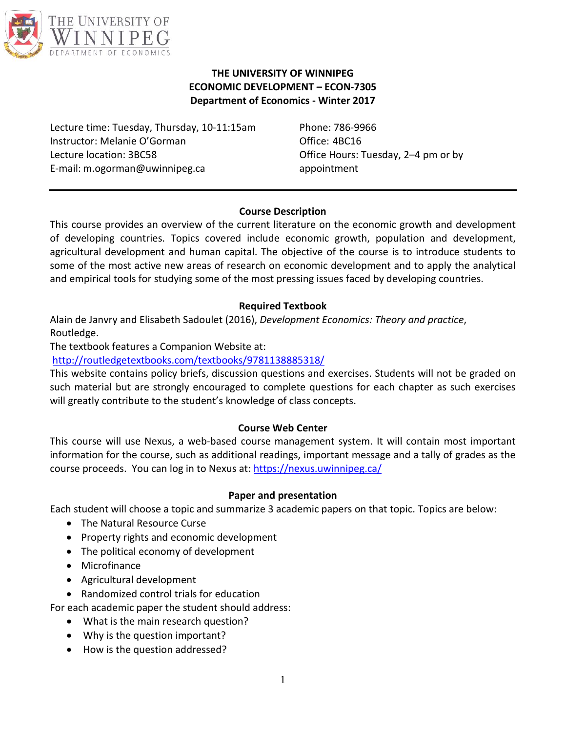

#### **THE UNIVERSITY OF WINNIPEG ECONOMIC DEVELOPMENT – ECON-7305 Department of Economics - Winter 2017**

Lecture time: Tuesday, Thursday, 10-11:15am Instructor: Melanie O'Gorman Lecture location: 3BC58 E-mail: m.ogorman@uwinnipeg.ca

Phone: 786-9966 Office: 4BC16 Office Hours: Tuesday, 2–4 pm or by appointment

### **Course Description**

This course provides an overview of the current literature on the economic growth and development of developing countries. Topics covered include economic growth, population and development, agricultural development and human capital. The objective of the course is to introduce students to some of the most active new areas of research on economic development and to apply the analytical and empirical tools for studying some of the most pressing issues faced by developing countries.

### **Required Textbook**

Alain de Janvry and Elisabeth Sadoulet (2016), *Development Economics: Theory and practice*, Routledge.

The textbook features a Companion Website at:

<http://routledgetextbooks.com/textbooks/9781138885318/>

This website contains policy briefs, discussion questions and exercises. Students will not be graded on such material but are strongly encouraged to complete questions for each chapter as such exercises will greatly contribute to the student's knowledge of class concepts.

### **Course Web Center**

This course will use Nexus, a web-based course management system. It will contain most important information for the course, such as additional readings, important message and a tally of grades as the course proceeds. You can log in to Nexus at:<https://nexus.uwinnipeg.ca/>

### **Paper and presentation**

Each student will choose a topic and summarize 3 academic papers on that topic. Topics are below:

- The Natural Resource Curse
- Property rights and economic development
- The political economy of development
- Microfinance
- Agricultural development

• Randomized control trials for education

- For each academic paper the student should address:
	- What is the main research question?
	- Why is the question important?
	- How is the question addressed?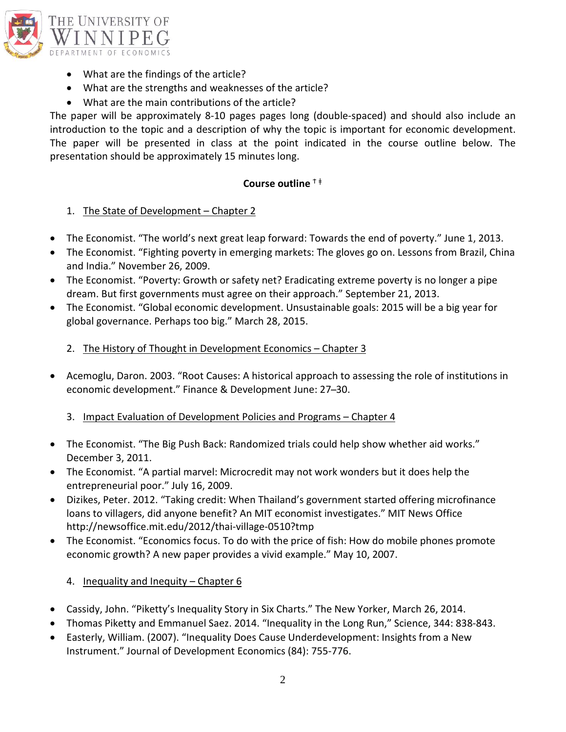

- What are the findings of the article?
- What are the strengths and weaknesses of the article?
- What are the main contributions of the article?

The paper will be approximately 8-10 pages pages long (double-spaced) and should also include an introduction to the topic and a description of why the topic is important for economic development. The paper will be presented in class at the point indicated in the course outline below. The presentation should be approximately 15 minutes long.

#### **Course outline** <sup>Ϯ</sup> <sup>ǂ</sup>

### 1. The State of Development - Chapter 2

- The Economist. "The world's next great leap forward: Towards the end of poverty." June 1, 2013.
- The Economist. "Fighting poverty in emerging markets: The gloves go on. Lessons from Brazil, China and India." November 26, 2009.
- The Economist. "Poverty: Growth or safety net? Eradicating extreme poverty is no longer a pipe dream. But first governments must agree on their approach." September 21, 2013.
- The Economist. "Global economic development. Unsustainable goals: 2015 will be a big year for global governance. Perhaps too big." March 28, 2015.
	- 2. The History of Thought in Development Economics Chapter 3
- Acemoglu, Daron. 2003. "Root Causes: A historical approach to assessing the role of institutions in economic development." Finance & Development June: 27-30.

### 3. Impact Evaluation of Development Policies and Programs – Chapter 4

- The Economist. "The Big Push Back: Randomized trials could help show whether aid works." December 3, 2011.
- The Economist. "A partial marvel: Microcredit may not work wonders but it does help the entrepreneurial poor." July 16, 2009.
- Dizikes, Peter. 2012. "Taking credit: When Thailand's government started offering microfinance loans to villagers, did anyone benefit? An MIT economist investigates." MIT News Office http://newsoffice.mit.edu/2012/thai-village-0510?tmp
- The Economist. "Economics focus. To do with the price of fish: How do mobile phones promote economic growth? A new paper provides a vivid example." May 10, 2007.

### 4. Inequality and Inequity – Chapter 6

- Cassidy, John. "Piketty's Inequality Story in Six Charts." The New Yorker, March 26, 2014.
- Thomas Piketty and Emmanuel Saez. 2014. "Inequality in the Long Run," Science, 344: 838-843.
- Easterly, William. (2007). "Inequality Does Cause Underdevelopment: Insights from a New Instrument." Journal of Development Economics (84): 755-776.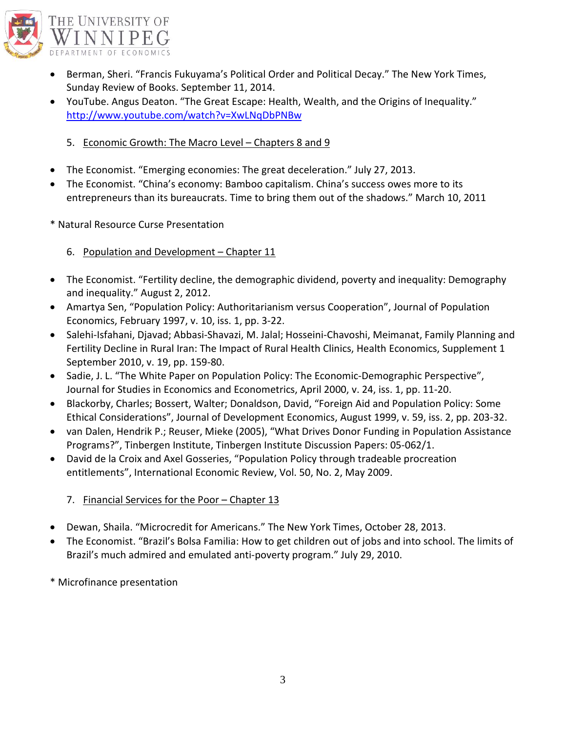

- Berman, Sheri. "Francis Fukuyama's Political Order and Political Decay." The New York Times, Sunday Review of Books. September 11, 2014.
- YouTube. Angus Deaton. "The Great Escape: Health, Wealth, and the Origins of Inequality." <http://www.youtube.com/watch?v=XwLNqDbPNBw>
	- 5. Economic Growth: The Macro Level Chapters 8 and 9
- The Economist. "Emerging economies: The great deceleration." July 27, 2013.
- The Economist. "China's economy: Bamboo capitalism. China's success owes more to its entrepreneurs than its bureaucrats. Time to bring them out of the shadows." March 10, 2011
- \* Natural Resource Curse Presentation
	- 6. Population and Development Chapter 11
- The Economist. "Fertility decline, the demographic dividend, poverty and inequality: Demography and inequality." August 2, 2012.
- Amartya Sen, "Population Policy: Authoritarianism versus Cooperation", Journal of Population Economics, February 1997, v. 10, iss. 1, pp. 3-22.
- Salehi-Isfahani, Djavad; Abbasi-Shavazi, M. Jalal; Hosseini-Chavoshi, Meimanat, Family Planning and Fertility Decline in Rural Iran: The Impact of Rural Health Clinics, Health Economics, Supplement 1 September 2010, v. 19, pp. 159-80.
- Sadie, J. L. "The White Paper on Population Policy: The Economic-Demographic Perspective", Journal for Studies in Economics and Econometrics, April 2000, v. 24, iss. 1, pp. 11-20.
- Blackorby, Charles; Bossert, Walter; Donaldson, David, "Foreign Aid and Population Policy: Some Ethical Considerations", Journal of Development Economics, August 1999, v. 59, iss. 2, pp. 203-32.
- van Dalen, Hendrik P.; Reuser, Mieke (2005), "What Drives Donor Funding in Population Assistance Programs?", Tinbergen Institute, Tinbergen Institute Discussion Papers: 05-062/1.
- David de la Croix and Axel Gosseries, "Population Policy through tradeable procreation entitlements", International Economic Review, Vol. 50, No. 2, May 2009.
	- 7. Financial Services for the Poor Chapter 13
- Dewan, Shaila. "Microcredit for Americans." The New York Times, October 28, 2013.
- The Economist. "Brazil's Bolsa Familia: How to get children out of jobs and into school. The limits of Brazil's much admired and emulated anti-poverty program." July 29, 2010.
- \* Microfinance presentation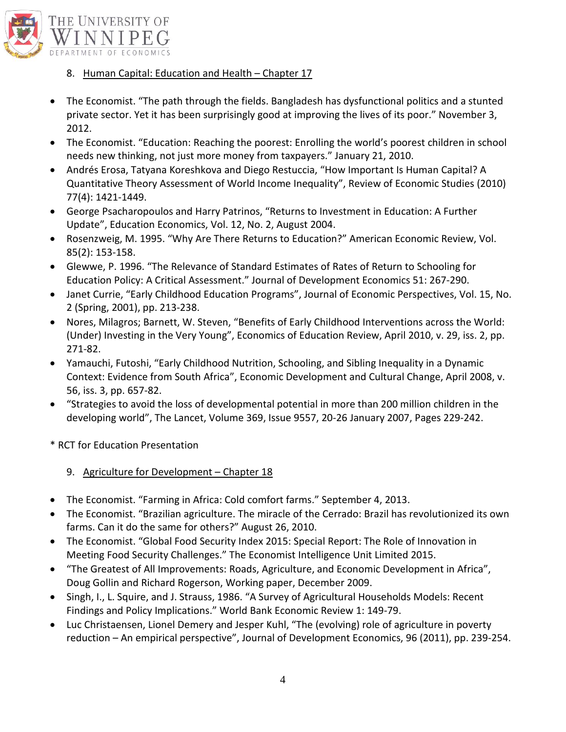

- 8. Human Capital: Education and Health Chapter 17
- The Economist. "The path through the fields. Bangladesh has dysfunctional politics and a stunted private sector. Yet it has been surprisingly good at improving the lives of its poor." November 3, 2012.
- The Economist. "Education: Reaching the poorest: Enrolling the world's poorest children in school needs new thinking, not just more money from taxpayers." January 21, 2010.
- Andrés Erosa, Tatyana Koreshkova and Diego Restuccia, "How Important Is Human Capital? A Quantitative Theory Assessment of World Income Inequality", Review of Economic Studies (2010) 77(4): 1421-1449.
- George Psacharopoulos and Harry Patrinos, "Returns to Investment in Education: A Further Update", Education Economics, Vol. 12, No. 2, August 2004.
- Rosenzweig, M. 1995. "Why Are There Returns to Education?" American Economic Review, Vol. 85(2): 153-158.
- Glewwe, P. 1996. "The Relevance of Standard Estimates of Rates of Return to Schooling for Education Policy: A Critical Assessment." Journal of Development Economics 51: 267-290.
- Janet Currie, "Early Childhood Education Programs", Journal of Economic Perspectives, Vol. 15, No. 2 (Spring, 2001), pp. 213-238.
- Nores, Milagros; Barnett, W. Steven, "Benefits of Early Childhood Interventions across the World: (Under) Investing in the Very Young", Economics of Education Review, April 2010, v. 29, iss. 2, pp. 271-82.
- Yamauchi, Futoshi, "Early Childhood Nutrition, Schooling, and Sibling Inequality in a Dynamic Context: Evidence from South Africa", Economic Development and Cultural Change, April 2008, v. 56, iss. 3, pp. 657-82.
- "Strategies to avoid the loss of developmental potential in more than 200 million children in the developing world", The Lancet, Volume 369, Issue 9557, 20-26 January 2007, Pages 229-242.
- \* RCT for Education Presentation
	- 9. Agriculture for Development Chapter 18
- The Economist. "Farming in Africa: Cold comfort farms." September 4, 2013.
- The Economist. "Brazilian agriculture. The miracle of the Cerrado: Brazil has revolutionized its own farms. Can it do the same for others?" August 26, 2010.
- The Economist. "Global Food Security Index 2015: Special Report: The Role of Innovation in Meeting Food Security Challenges." The Economist Intelligence Unit Limited 2015.
- "The Greatest of All Improvements: Roads, Agriculture, and Economic Development in Africa", Doug Gollin and Richard Rogerson, Working paper, December 2009.
- Singh, I., L. Squire, and J. Strauss, 1986. "A Survey of Agricultural Households Models: Recent Findings and Policy Implications." World Bank Economic Review 1: 149-79.
- Luc Christaensen, Lionel Demery and Jesper Kuhl, "The (evolving) role of agriculture in poverty reduction – An empirical perspective", Journal of Development Economics, 96 (2011), pp. 239-254.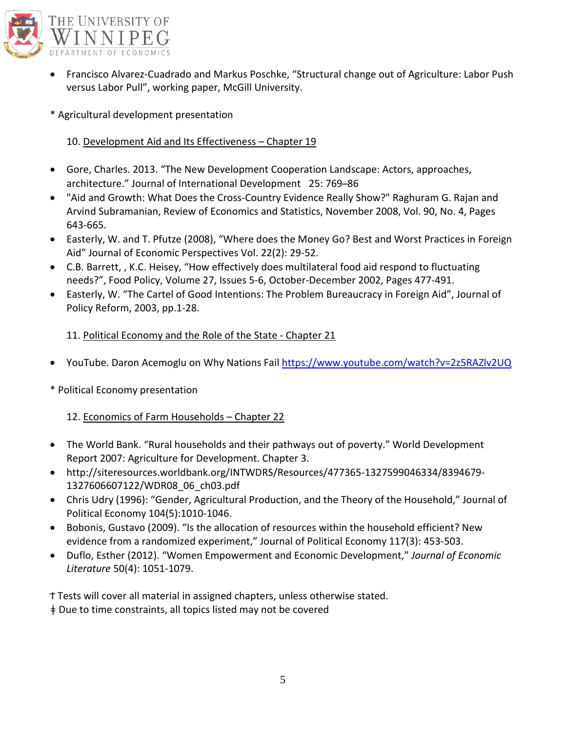

- Francisco Alvarez-Cuadrado and Markus Poschke, "Structural change out of Agriculture: Labor Push versus Labor Pull", working paper, McGill University.
- \* Agricultural development presentation

## 10. Development Aid and Its Effectiveness - Chapter 19

- Gore, Charles. 2013. "The New Development Cooperation Landscape: Actors, approaches, architecture." Journal of International Development 25: 769-86
- "Aid and Growth: What Does the Cross-Country Evidence Really Show?" Raghuram G. Rajan and Arvind Subramanian, Review of Economics and Statistics, November 2008, Vol. 90, No. 4, Pages 643-665.
- Easterly, W. and T. Pfutze (2008), "Where does the Money Go? Best and Worst Practices in Foreign Aid" Journal of Economic Perspectives Vol. 22(2): 29-52.
- C.B. Barrett, , K.C. Heisey, "How effectively does multilateral food aid respond to fluctuating needs?", Food Policy, Volume 27, Issues 5-6, October-December 2002, Pages 477-491.
- Easterly, W. "The Cartel of Good Intentions: The Problem Bureaucracy in Foreign Aid", Journal of Policy Reform, 2003, pp.1-28.

## 11. Political Economy and the Role of the State - Chapter 21

- YouTube. Daron Acemoglu on Why Nations Fail<https://www.youtube.com/watch?v=2z5RAZlv2UQ>
- \* Political Economy presentation

# 12. Economics of Farm Households – Chapter 22

- The World Bank. "Rural households and their pathways out of poverty." World Development Report 2007: Agriculture for Development. Chapter 3.
- http://siteresources.worldbank.org/INTWDRS/Resources/477365-1327599046334/8394679- 1327606607122/WDR08\_06\_ch03.pdf
- Chris Udry (1996): "Gender, Agricultural Production, and the Theory of the Household," Journal of Political Economy 104(5):1010-1046.
- Bobonis, Gustavo (2009). "Is the allocation of resources within the household efficient? New evidence from a randomized experiment," Journal of Political Economy 117(3): 453-503.
- Duflo, Esther (2012). "Women Empowerment and Economic Development," *Journal of Economic Literature* 50(4): 1051-1079.

Ϯ Tests will cover all material in assigned chapters, unless otherwise stated.

ǂ Due to time constraints, all topics listed may not be covered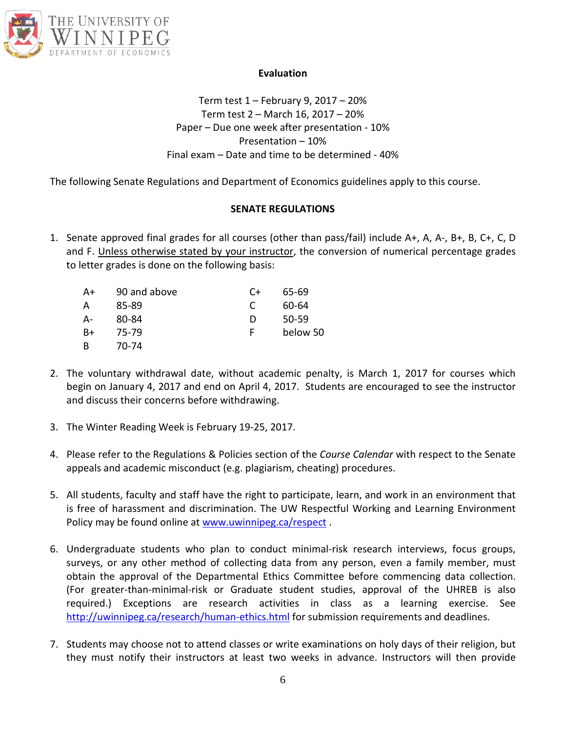

#### **Evaluation**

Term test 1 – February 9, 2017 – 20% Term test 2 – March 16, 2017 – 20% Paper – Due one week after presentation - 10% Presentation – 10% Final exam – Date and time to be determined - 40%

The following Senate Regulations and Department of Economics guidelines apply to this course.

### **SENATE REGULATIONS**

1. Senate approved final grades for all courses (other than pass/fail) include A+, A, A-, B+, B, C+, C, D and F. Unless otherwise stated by your instructor, the conversion of numerical percentage grades to letter grades is done on the following basis:

| A+ | 90 and above | C+ | 65-69    |
|----|--------------|----|----------|
| А  | 85-89        | C  | 60-64    |
| А- | 80-84        | D  | 50-59    |
| B+ | 75-79        | F  | below 50 |
| B  | 70-74        |    |          |

- 2. The voluntary withdrawal date, without academic penalty, is March 1, 2017 for courses which begin on January 4, 2017 and end on April 4, 2017. Students are encouraged to see the instructor and discuss their concerns before withdrawing.
- 3. The Winter Reading Week is February 19-25, 2017.
- 4. Please refer to the Regulations & Policies section of the *Course Calendar* with respect to the Senate appeals and academic misconduct (e.g. plagiarism, cheating) procedures.
- 5. All students, faculty and staff have the right to participate, learn, and work in an environment that is free of harassment and discrimination. The UW Respectful Working and Learning Environment Policy may be found online at [www.uwinnipeg.ca/respect](http://www.uwinnipeg.ca/respect) .
- 6. Undergraduate students who plan to conduct minimal-risk research interviews, focus groups, surveys, or any other method of collecting data from any person, even a family member, must obtain the approval of the Departmental Ethics Committee before commencing data collection. (For greater-than-minimal-risk or Graduate student studies, approval of the UHREB is also required.) Exceptions are research activities in class as a learning exercise. See <http://uwinnipeg.ca/research/human-ethics.html> for submission requirements and deadlines.
- 7. Students may choose not to attend classes or write examinations on holy days of their religion, but they must notify their instructors at least two weeks in advance. Instructors will then provide